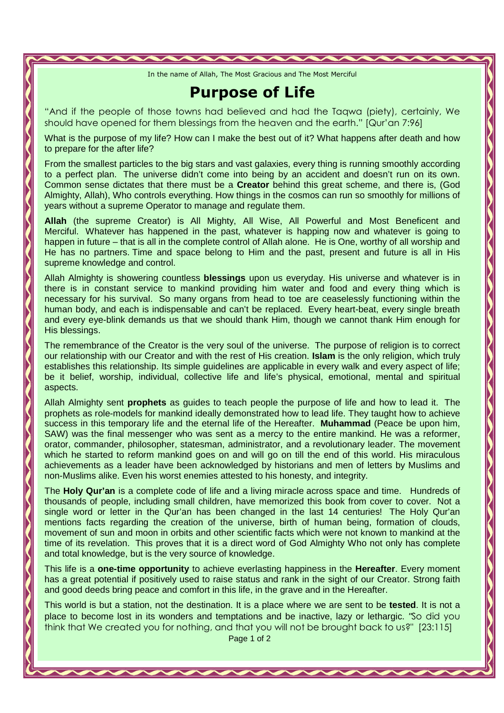In the name of Allah, The Most Gracious and The Most Merciful

## Purpose of Life

"And if the people of those towns had believed and had the Taqwa (piety), certainly, We should have opened for them blessings from the heaven and the earth." [Qur'an 7:96]

What is the purpose of my life? How can I make the best out of it? What happens after death and how to prepare for the after life?

From the smallest particles to the big stars and vast galaxies, every thing is running smoothly according to a perfect plan. The universe didn't come into being by an accident and doesn't run on its own. Common sense dictates that there must be a **Creator** behind this great scheme, and there is, (God Almighty, Allah), Who controls everything. How things in the cosmos can run so smoothly for millions of years without a supreme Operator to manage and regulate them.

**Allah** (the supreme Creator) is All Mighty, All Wise, All Powerful and Most Beneficent and Merciful. Whatever has happened in the past, whatever is happing now and whatever is going to happen in future – that is all in the complete control of Allah alone. He is One, worthy of all worship and He has no partners. Time and space belong to Him and the past, present and future is all in His supreme knowledge and control.

Allah Almighty is showering countless **blessings** upon us everyday. His universe and whatever is in there is in constant service to mankind providing him water and food and every thing which is necessary for his survival. So many organs from head to toe are ceaselessly functioning within the human body, and each is indispensable and can't be replaced. Every heart-beat, every single breath and every eye-blink demands us that we should thank Him, though we cannot thank Him enough for His blessings.

The remembrance of the Creator is the very soul of the universe. The purpose of religion is to correct our relationship with our Creator and with the rest of His creation. **Islam** is the only religion, which truly establishes this relationship. Its simple guidelines are applicable in every walk and every aspect of life; be it belief, worship, individual, collective life and life's physical, emotional, mental and spiritual aspects.

Allah Almighty sent **prophets** as guides to teach people the purpose of life and how to lead it. The prophets as role-models for mankind ideally demonstrated how to lead life. They taught how to achieve success in this temporary life and the eternal life of the Hereafter. **Muhammad** (Peace be upon him, SAW) was the final messenger who was sent as a mercy to the entire mankind. He was a reformer, orator, commander, philosopher, statesman, administrator, and a revolutionary leader. The movement which he started to reform mankind goes on and will go on till the end of this world. His miraculous achievements as a leader have been acknowledged by historians and men of letters by Muslims and non-Muslims alike. Even his worst enemies attested to his honesty, and integrity.

The **Holy Qur'an** is a complete code of life and a living miracle across space and time. Hundreds of thousands of people, including small children, have memorized this book from cover to cover. Not a single word or letter in the Qur'an has been changed in the last 14 centuries! The Holy Qur'an mentions facts regarding the creation of the universe, birth of human being, formation of clouds, movement of sun and moon in orbits and other scientific facts which were not known to mankind at the time of its revelation. This proves that it is a direct word of God Almighty Who not only has complete and total knowledge, but is the very source of knowledge.

This life is a **one-time opportunity** to achieve everlasting happiness in the **Hereafter**. Every moment has a great potential if positively used to raise status and rank in the sight of our Creator. Strong faith and good deeds bring peace and comfort in this life, in the grave and in the Hereafter.

This world is but a station, not the destination. It is a place where we are sent to be **tested**. It is not a place to become lost in its wonders and temptations and be inactive, lazy or lethargic. "So did you think that We created you for nothing, and that you will not be brought back to us?" [23:115]